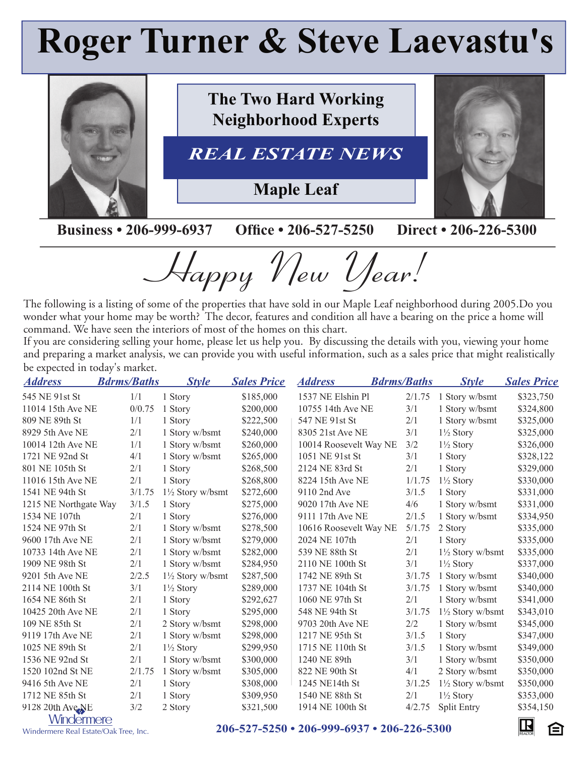## **Roger Turner & Steve Laevastu's**



**The Two Hard Working Neighborhood Experts**

## *REAL ESTATE NEWS*

**Maple Leaf**



## **Business • 206-999-6937 Office • 206-527-5250 Direct • 206-226-5300**

Happy New Year!

The following is a listing of some of the properties that have sold in our Maple Leaf neighborhood during 2005.Do you wonder what your home may be worth? The decor, features and condition all have a bearing on the price a home will command. We have seen the interiors of most of the homes on this chart.

If you are considering selling your home, please let us help you. By discussing the details with you, viewing your home and preparing a market analysis, we can provide you with useful information, such as a sales price that might realistically be expected in today's market.

| <b>Address</b>           | <b>Bdrms/Baths</b> | <b>Style</b>                | <b>Sales Price</b> | <u>Address</u>         | <b>Bdrms/Baths</b> | <b>Style</b>                | <b>Sales Price</b> |
|--------------------------|--------------------|-----------------------------|--------------------|------------------------|--------------------|-----------------------------|--------------------|
| 545 NE 91st St           | 1/1                | 1 Story                     | \$185,000          | 1537 NE Elshin Pl      | 2/1.75             | 1 Story w/bsmt              | \$323,750          |
| 11014 15th Ave NE        | 0/0.75             | 1 Story                     | \$200,000          | 10755 14th Ave NE      | 3/1                | 1 Story w/bsmt              | \$324,800          |
| 809 NE 89th St           | 1/1                | 1 Story                     | \$222,500          | 547 NE 91st St         | 2/1                | 1 Story w/bsmt              | \$325,000          |
| 8929 5th Ave NE          | 2/1                | 1 Story w/bsmt              | \$240,000          | 8305 21st Ave NE       | 3/1                | $1\frac{1}{2}$ Story        | \$325,000          |
| 10014 12th Ave NE        | 1/1                | 1 Story w/bsmt              | \$260,000          | 10014 Roosevelt Way NE | 3/2                | $1\frac{1}{2}$ Story        | \$326,000          |
| 1721 NE 92nd St          | 4/1                | 1 Story w/bsmt              | \$265,000          | 1051 NE 91st St        | 3/1                | 1 Story                     | \$328,122          |
| 801 NE 105th St          | 2/1                | 1 Story                     | \$268,500          | 2124 NE 83rd St        | 2/1                | 1 Story                     | \$329,000          |
| 11016 15th Ave NE        | 2/1                | 1 Story                     | \$268,800          | 8224 15th Ave NE       | 1/1.75             | $1\frac{1}{2}$ Story        | \$330,000          |
| 1541 NE 94th St          | 3/1.75             | $1\frac{1}{2}$ Story w/bsmt | \$272,600          | 9110 2nd Ave           | 3/1.5              | 1 Story                     | \$331,000          |
| 1215 NE Northgate Way    | 3/1.5              | 1 Story                     | \$275,000          | 9020 17th Ave NE       | 4/6                | 1 Story w/bsmt              | \$331,000          |
| 1534 NE 107th            | 2/1                | 1 Story                     | \$276,000          | 9111 17th Ave NE       | 2/1.5              | 1 Story w/bsmt              | \$334,950          |
| 1524 NE 97th St          | 2/1                | 1 Story w/bsmt              | \$278,500          | 10616 Roosevelt Way NE | 5/1.75             | 2 Story                     | \$335,000          |
| 9600 17th Ave NE         | 2/1                | 1 Story w/bsmt              | \$279,000          | 2024 NE 107th          | 2/1                | 1 Story                     | \$335,000          |
| 10733 14th Ave NE        | 2/1                | 1 Story w/bsmt              | \$282,000          | 539 NE 88th St         | 2/1                | $1\frac{1}{2}$ Story w/bsmt | \$335,000          |
| 1909 NE 98th St          | 2/1                | 1 Story w/bsmt              | \$284,950          | 2110 NE 100th St       | 3/1                | $1\frac{1}{2}$ Story        | \$337,000          |
| 9201 5th Ave NE          | 2/2.5              | $1\frac{1}{2}$ Story w/bsmt | \$287,500          | 1742 NE 89th St        | 3/1.75             | 1 Story w/bsmt              | \$340,000          |
| 2114 NE 100th St         | 3/1                | $1\frac{1}{2}$ Story        | \$289,000          | 1737 NE 104th St       | 3/1.75             | 1 Story w/bsmt              | \$340,000          |
| 1654 NE 86th St          | 2/1                | 1 Story                     | \$292,627          | 1060 NE 97th St        | 2/1                | 1 Story w/bsmt              | \$341,000          |
| 10425 20th Ave NE        | 2/1                | 1 Story                     | \$295,000          | 548 NE 94th St         | 3/1.75             | $1\frac{1}{2}$ Story w/bsmt | \$343,010          |
| 109 NE 85th St           | 2/1                | 2 Story w/bsmt              | \$298,000          | 9703 20th Ave NE       | 2/2                | 1 Story w/bsmt              | \$345,000          |
| 9119 17th Ave NE         | 2/1                | 1 Story w/bsmt              | \$298,000          | 1217 NE 95th St        | 3/1.5              | 1 Story                     | \$347,000          |
| 1025 NE 89th St          | 2/1                | $1\frac{1}{2}$ Story        | \$299,950          | 1715 NE 110th St       | 3/1.5              | 1 Story w/bsmt              | \$349,000          |
| 1536 NE 92nd St          | 2/1                | 1 Story w/bsmt              | \$300,000          | 1240 NE 89th           | 3/1                | 1 Story w/bsmt              | \$350,000          |
| 1520 102nd St NE         | 2/1.75             | 1 Story w/bsmt              | \$305,000          | 822 NE 90th St         | 4/1                | 2 Story w/bsmt              | \$350,000          |
| 9416 5th Ave NE          | 2/1                | 1 Story                     | \$308,000          | 1245 NE14th St         | 3/1.25             | $1\frac{1}{2}$ Story w/bsmt | \$350,000          |
| 1712 NE 85th St          | 2/1                | 1 Story                     | \$309,950          | 1540 NE 88th St        | 2/1                | $1\frac{1}{2}$ Story        | \$353,000          |
| 9128 20th Ave NE         | 3/2                | 2 Story                     | \$321,500          | 1914 NE 100th St       | 4/2.75             | <b>Split Entry</b>          | \$354,150          |
| <i><u>Mindermere</u></i> |                    |                             |                    |                        |                    |                             | <b>Fry</b>         |

Windermere Real Estate/Oak Tree, Inc.

<u>VVIEQUEFITICIC</u><br>There Real Estate/Oak Tree, Inc. 206-527-5250 • 206-999-6937 • 206-226-5300